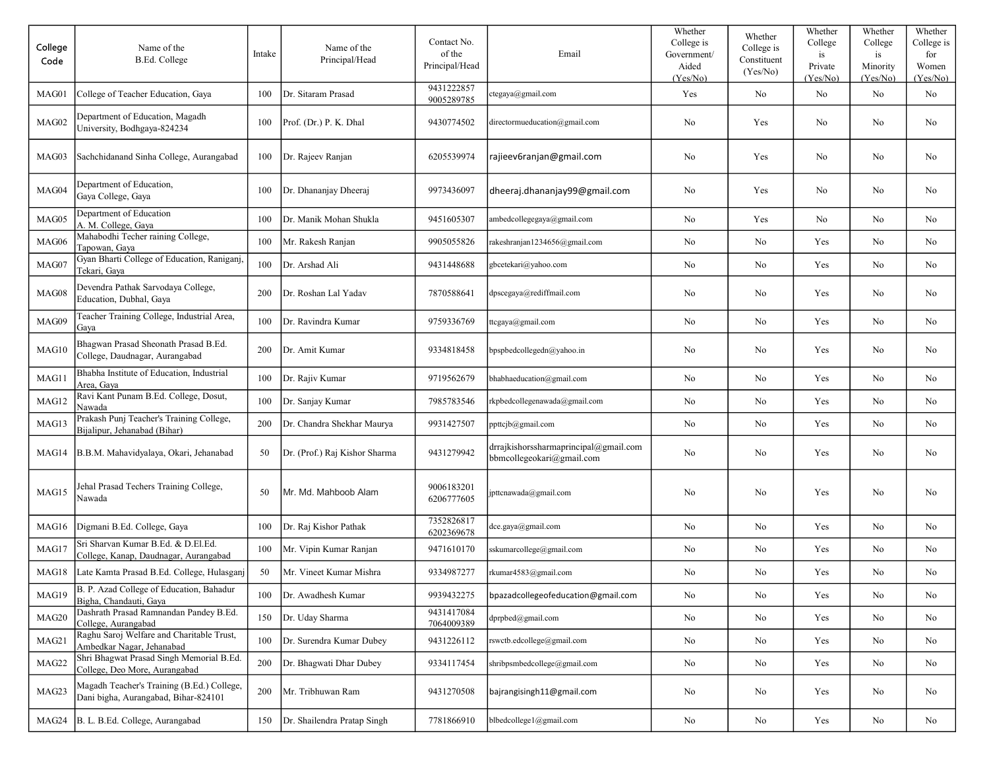| College<br>Code | Name of the<br>B.Ed. College                                                       | Intake | Name of the<br>Principal/Head | Contact No.<br>of the<br>Principal/Head | Email                                                              | Whether<br>College is<br>Government/<br>Aided<br>(Yes/No) | Whether<br>College is<br>Constituent<br>(Yes/No) | Whether<br>College<br>is<br>Private<br>(Yes/No) | Whether<br>College<br>is<br>Minority<br>(Yes/No) | Whether<br>College is<br>for<br>Women<br>(Yes/No) |
|-----------------|------------------------------------------------------------------------------------|--------|-------------------------------|-----------------------------------------|--------------------------------------------------------------------|-----------------------------------------------------------|--------------------------------------------------|-------------------------------------------------|--------------------------------------------------|---------------------------------------------------|
| MAG01           | College of Teacher Education, Gaya                                                 | 100    | Dr. Sitaram Prasad            | 9431222857<br>9005289785                | ctegaya@gmail.com                                                  | Yes                                                       | No                                               | No                                              | No                                               | No                                                |
| MAG02           | Department of Education, Magadh<br>University, Bodhgaya-824234                     | 100    | Prof. (Dr.) P. K. Dhal        | 9430774502                              | directormueducation@gmail.com                                      | No                                                        | Yes                                              | No                                              | No                                               | No                                                |
| MAG03           | Sachchidanand Sinha College, Aurangabad                                            | 100    | Dr. Rajeev Ranjan             | 6205539974                              | rajieev6ranjan@gmail.com                                           | No                                                        | Yes                                              | No                                              | No                                               | No                                                |
| MAG04           | Department of Education,<br>Gaya College, Gaya                                     | 100    | Dr. Dhananjay Dheeraj         | 9973436097                              | dheeraj.dhananjay99@gmail.com                                      | No                                                        | Yes                                              | No                                              | N <sub>o</sub>                                   | No                                                |
| MAG05           | Department of Education<br>A. M. College, Gaya                                     | 100    | Dr. Manik Mohan Shukla        | 9451605307                              | ambedcollegegaya@gmail.com                                         | No                                                        | Yes                                              | No                                              | No                                               | No                                                |
| MAG06           | Mahabodhi Techer raining College,<br>Tapowan, Gaya                                 | 100    | Mr. Rakesh Ranjan             | 9905055826                              | rakeshranjan1234656@gmail.com                                      | No                                                        | No                                               | Yes                                             | No                                               | No                                                |
| MAG07           | Gyan Bharti College of Education, Raniganj,<br>Tekari, Gava                        | 100    | Dr. Arshad Ali                | 9431448688                              | gbcetekari@yahoo.com                                               | No                                                        | No                                               | Yes                                             | No                                               | No                                                |
| MAG08           | Devendra Pathak Sarvodaya College,<br>Education, Dubhal, Gaya                      | 200    | Dr. Roshan Lal Yadav          | 7870588641                              | dpscegaya@rediffmail.com                                           | No                                                        | No                                               | Yes                                             | No                                               | No                                                |
| MAG09           | Teacher Training College, Industrial Area,<br>Gaya                                 | 100    | Dr. Ravindra Kumar            | 9759336769                              | ttcgaya@gmail.com                                                  | No                                                        | No                                               | Yes                                             | No                                               | No                                                |
| MAG10           | Bhagwan Prasad Sheonath Prasad B.Ed.<br>College, Daudnagar, Aurangabad             | 200    | Dr. Amit Kumar                | 9334818458                              | bpspbedcollegedn@yahoo.in                                          | No                                                        | No                                               | Yes                                             | No                                               | No                                                |
| MAG11           | Bhabha Institute of Education, Industrial<br>Area, Gaya                            | 100    | Dr. Rajiv Kumar               | 9719562679                              | bhabhaeducation@gmail.com                                          | No                                                        | No                                               | Yes                                             | No                                               | No                                                |
| MAG12           | Ravi Kant Punam B.Ed. College, Dosut,<br>Nawada                                    | 100    | Dr. Sanjay Kumar              | 7985783546                              | rkpbedcollegenawada@gmail.com                                      | No                                                        | No                                               | Yes                                             | No                                               | No                                                |
| MAG13           | Prakash Punj Teacher's Training College,<br>Bijalipur, Jehanabad (Bihar)           | 200    | Dr. Chandra Shekhar Maurya    | 9931427507                              | ppttcjb@gmail.com                                                  | No                                                        | No                                               | Yes                                             | No                                               | No                                                |
| MAG14           | B.B.M. Mahavidyalaya, Okari, Jehanabad                                             | 50     | Dr. (Prof.) Raj Kishor Sharma | 9431279942                              | drrajkishorssharmaprincipal@gmail.com<br>bbmcollegeokari@gmail.com | N <sub>o</sub>                                            | No                                               | Yes                                             | N <sub>o</sub>                                   | No                                                |
| MAG15           | Jehal Prasad Techers Training College,<br>Nawada                                   | 50     | Mr. Md. Mahboob Alam          | 9006183201<br>6206777605                | jpttcnawada@gmail.com                                              | No                                                        | No                                               | Yes                                             | No                                               | No                                                |
| MAG16           | Digmani B.Ed. College, Gaya                                                        | 100    | Dr. Raj Kishor Pathak         | 7352826817<br>6202369678                | dec.gaya@gmail.com                                                 | No                                                        | No                                               | Yes                                             | No                                               | No                                                |
| MAG17           | Sri Sharvan Kumar B.Ed. & D.El.Ed.<br>College, Kanap, Daudnagar, Aurangabad        | 100    | Mr. Vipin Kumar Ranjan        | 9471610170                              | sskumarcollege@gmail.com                                           | No                                                        | No                                               | Yes                                             | No                                               | No                                                |
| MAG18           | Late Kamta Prasad B.Ed. College, Hulasganj                                         | 50     | Mr. Vineet Kumar Mishra       | 9334987277                              | rkumar4583@gmail.com                                               | No                                                        | No                                               | Yes                                             | No                                               | No                                                |
| MAG19           | B. P. Azad College of Education, Bahadur<br>Bigha, Chandauti, Gaya                 | 100    | Dr. Awadhesh Kumar            | 9939432275                              | bpazadcollegeofeducation@gmail.com                                 | No                                                        | $\rm No$                                         | Yes                                             | No                                               | No                                                |
| MAG20           | Dashrath Prasad Ramnandan Pandey B.Ed.<br>College, Aurangabad                      | 150    | Dr. Uday Sharma               | 9431417084<br>7064009389                | dprpbed@gmail.com                                                  | No                                                        | No                                               | Yes                                             | No                                               | No                                                |
| MAG21           | Raghu Saroj Welfare and Charitable Trust,<br>Ambedkar Nagar, Jehanabad             | 100    | Dr. Surendra Kumar Dubey      | 9431226112                              | rswctb.edcollege@gmail.com                                         | No                                                        | No                                               | Yes                                             | No                                               | No                                                |
| MAG22           | Shri Bhagwat Prasad Singh Memorial B.Ed.<br>College, Deo More, Aurangabad          | 200    | Dr. Bhagwati Dhar Dubey       | 9334117454                              | shribpsmbedcollege@gmail.com                                       | No                                                        | No                                               | Yes                                             | No                                               | No                                                |
| MAG23           | Magadh Teacher's Training (B.Ed.) College,<br>Dani bigha, Aurangabad, Bihar-824101 | 200    | Mr. Tribhuwan Ram             | 9431270508                              | bajrangisingh11@gmail.com                                          | No                                                        | No                                               | Yes                                             | No                                               | No                                                |
| MAG24           | B. L. B.Ed. College, Aurangabad                                                    | 150    | Dr. Shailendra Pratap Singh   | 7781866910                              | blbedcollege1@gmail.com                                            | No                                                        | No                                               | Yes                                             | No                                               | No                                                |